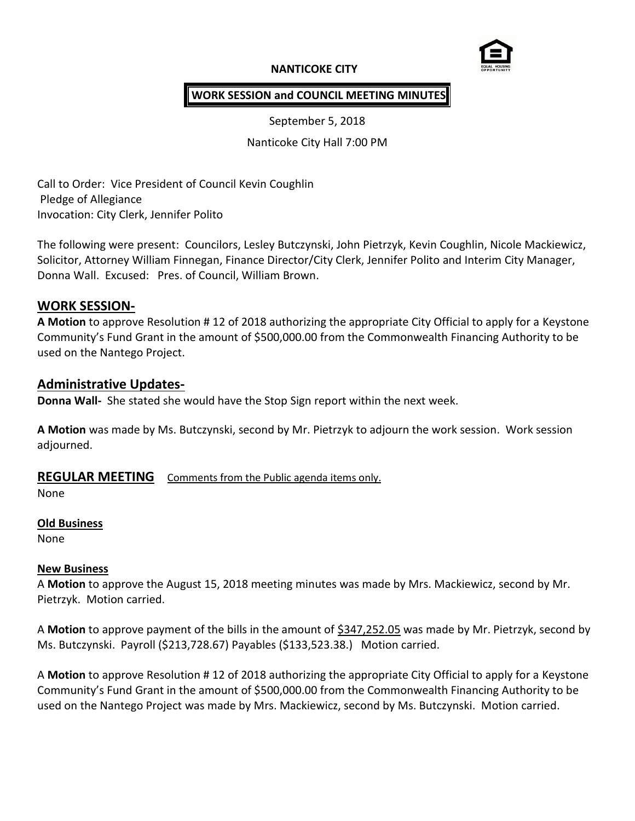# **NANTICOKE CITY**



# **WORK SESSION and COUNCIL MEETING MINUTES**

September 5, 2018

Nanticoke City Hall 7:00 PM

Call to Order: Vice President of Council Kevin Coughlin Pledge of Allegiance Invocation: City Clerk, Jennifer Polito

The following were present: Councilors, Lesley Butczynski, John Pietrzyk, Kevin Coughlin, Nicole Mackiewicz, Solicitor, Attorney William Finnegan, Finance Director/City Clerk, Jennifer Polito and Interim City Manager, Donna Wall. Excused: Pres. of Council, William Brown.

## **WORK SESSION-**

**A Motion** to approve Resolution # 12 of 2018 authorizing the appropriate City Official to apply for a Keystone Community's Fund Grant in the amount of \$500,000.00 from the Commonwealth Financing Authority to be used on the Nantego Project.

## **Administrative Updates-**

**Donna Wall-** She stated she would have the Stop Sign report within the next week.

**A Motion** was made by Ms. Butczynski, second by Mr. Pietrzyk to adjourn the work session. Work session adjourned.

## **REGULAR MEETING** Comments from the Public agenda items only.

None

## **Old Business**

None

## **New Business**

A **Motion** to approve the August 15, 2018 meeting minutes was made by Mrs. Mackiewicz, second by Mr. Pietrzyk. Motion carried.

A **Motion** to approve payment of the bills in the amount of \$347,252.05 was made by Mr. Pietrzyk, second by Ms. Butczynski. Payroll (\$213,728.67) Payables (\$133,523.38.) Motion carried.

A **Motion** to approve Resolution # 12 of 2018 authorizing the appropriate City Official to apply for a Keystone Community's Fund Grant in the amount of \$500,000.00 from the Commonwealth Financing Authority to be used on the Nantego Project was made by Mrs. Mackiewicz, second by Ms. Butczynski. Motion carried.